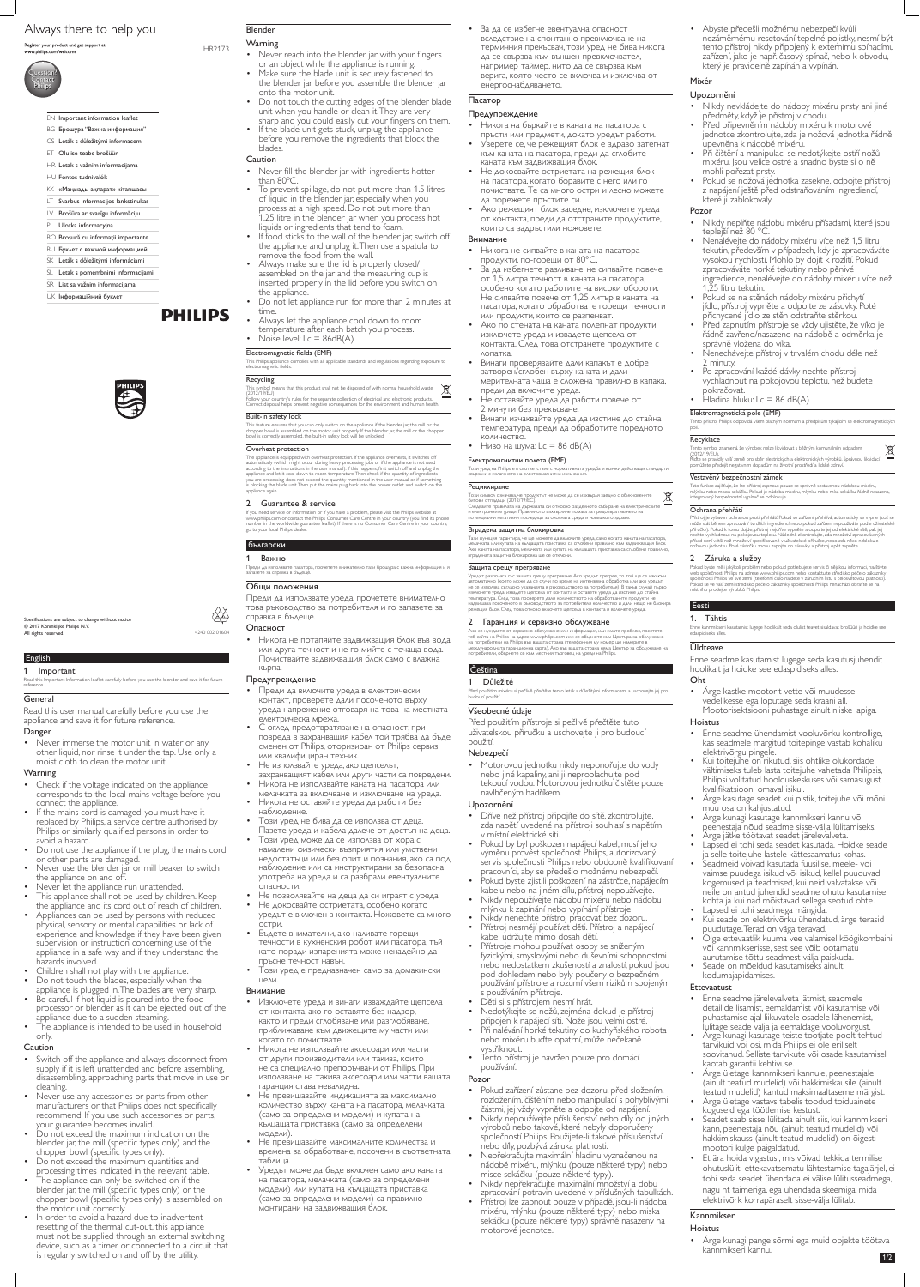# Always there to help you

Register your product and get support at www.philips.com/welcome



#### 1 Important

Read this Important Information leaflet carefully before you use the blender and save it for future reference.

# **General**

Read this user manual carefully before you use the appliance and save it for future reference.

# Danger

• Never immerse the motor unit in water or any other liquid, nor rinse it under the tap. Use only a moist cloth to clean the motor unit.

# **Warning**

- Check if the voltage indicated on the appliance corresponds to the local mains voltage before you connect the appliance.
- If the mains cord is damaged, you must have it replaced by Philips, a service centre authorised by Philips or similarly qualified persons in order to avoid a hazard.
- Do not use the appliance if the plug, the mains cord or other parts are damaged.
- Never use the blender jar or mill beaker to switch the appliance on and off.
- Never let the appliance run unattended.
- This appliance shall not be used by children. Keep the appliance and its cord out of reach of children.
- Appliances can be used by persons with reduced physical, sensory or mental capabilities or lack of experience and knowledge if they have been given supervision or instruction concerning use of the appliance in a safe way and if they understand the hazards involved.
- Children shall not play with the appliance.
- Do not touch the blades, especially when the appliance is plugged in. The blades are very sharp.
- Be careful if hot liquid is poured into the food processor or blender as it can be ejected out of the appliance due to a sudden steaming.
- The appliance is intended to be used in household only.

Blender **Warning** 

• Never reach into the blender jar with your fingers or an object while the appliance is running. • Make sure the blade unit is securely fastened to

• If the blade unit gets stuck, unplug the appliance before you remove the ingredients that block the

• Never fill the blender jar with ingredients hotter

# Caution

• If food sticks to the wall of the blender jar, switch off the appliance and unplug it. Then use a spatula to

- Always let the appliance cool down to room temperature after each batch you process. Noise level:  $Lc = 86dB(A)$ 
	-

- Switch off the appliance and always disconnect from supply if it is left unattended and before assembling, disassembling, approaching parts that move in use or cleaning.
- Never use any accessories or parts from other manufacturers or that Philips does not specifically recommend. If you use such accessories or parts, your guarantee becomes invalid.
- Do not exceed the maximum indication on the blender jar, the mill (specific types only) and the chopper bowl (specific types only).
- Do not exceed the maximum quantities and processing times indicated in the relevant table.
- The appliance can only be switched on if the blender jar, the mill (specific types only) or the chopper bowl (specific types only) is assembled on the motor unit correctly.
- In order to avoid a hazard due to inadvertent resetting of the thermal cut-out, this appliance must not be supplied through an external switching device, such as a timer, or connected to a circuit that is regularly switched on and off by the utility.

The appliance is equipped with overheat protection. If the appliance overheats, it switches off automatically (which might occur during heavy processing jobs or if the appliance is not used<br>according to the instructions in the user manual). If this happens, first switch off and unplug the<br>appliance and let it cool do you are processing does not exceed the quantity mentioned in the user manual or if something is blocking the blade unit. Then put the mains plug back into the power outlet and switch on the appliance again.

the blender jar before you assemble the blender jar

onto the motor unit.

• Do not touch the cutting edges of the blender blade unit when you handle or clean it. They are very sharp and you could easily cut your fingers on them.

blades. Caution

than 80ºC.

• To prevent spillage, do not put more than 1.5 litres of liquid in the blender jar, especially when you process at a high speed. Do not put more than 1.25 litre in the blender jar when you process hot

liquids or ingredients that tend to foam.

remove the food from the wall.

• Always make sure the lid is properly closed/ assembled on the jar and the measuring cup is inserted properly in the lid before you switch on

the appliance.

• Do not let appliance run for more than 2 minutes at

time.

Electromagnetic fields (EMF) This Philips appliance complies with all applicable standards and regulations regarding exposure to electromagnetic fields.

### Recycling

This symbol means that this product shall not be disposed of with normal household waste (2012/19/EU). Follow your country's rules for the separate collection of electrical and electronic products. Correct disposal helps prevent negative consequences for the environment and human health.

#### Built-in safety lock

This feature ensures that you can only switch on the appliance if the blender jar, the mill or the chopper bowl is assembled on the motor unit properly. If the blender jar, the mill or the chopper bowl is correctly assembled, the built-in safety lock will be unlocked.

#### Overheat protection

Тази функция гарантира, че ще можете да включите уреда, само когато каната на пасатора, мелачката или купата на кълцащата приставка са сглобени правилно към задвижващия блок. Ако каната на пасатора, мелачката или купата на кълцащата приставка са сглобени правилно,<br>вградената защитна блокировка ще се отключи.

### 2 Guarantee & service

If you need service or information or if you have a problem, please visit the Philips website at www.philips.com or contact the Philips Consumer Care Centre in your country (you find its phone number in the worldwide guarantee leaflet). If there is no Consumer Care Centre in your country, go to your local Philips dealer.

#### български

#### 1 Важно

Преди да използвате пасатора, прочетете внимателно тази брошура с важна информация и я запазете за справка в бъдеще.

# Общи положения

Преди да използвате уреда, прочетете внимателно това ръководство за потребителя и го запазете за справка в бъдеще.

#### Опасност

• Никога не потапяйте задвижващия блок във вода или друга течност и не го мийте с течаща вода. Почиствайте задвижващия блок само с влажна кърпа.

# Предупреждение

- Преди да включите уреда в електрически контакт, проверете дали посоченото върху уреда напрежение отговаря на това на местната електрическа мрежа.
- С оглед предотвратяване на опасност, при повреда в захранващия кабел той трябва да бъде сменен от Philips, оторизиран от Philips сервиз или квалифициран техник.
- Не използвайте уреда, ако щепселът, захранващият кабел или други части са повредени.
- Никога не използвайте каната на пасатора или мелачката за включване и изключване на уреда.
- Никога не оставяйте уреда да работи без наблюдение.
- Този уред не бива да се използва от деца. Пазете уреда и кабела далече от достъп на деца.
- Този уред може да се използва от хора с намалени физически възприятия или умствени недостатъци или без опит и познания, ако са под наблюдение или са инструктирани за безопасна употреба на уреда и са разбрали евентуалните опасности.
- Не позволявайте на деца да си играят с уреда.
- Не докосвайте остриетата, особено когато уредът е включен в контакта. Ножовете са много остри.
- Бъдете внимателни, ако наливате горещи течности в кухненския робот или пасатора, тъй като поради изпаренията може ненадейно да пръсне течност навън.
- Този уред е предназначен само за домакински цели.

# Внимание

- Nikdy nevkládejte do nádoby mixéru prsty ani jiné předměty, když je přístroj v chodu.<br>Před připevněním nádoby mixéru k motorové
- jednotce zkontrolujte, zda je nožová jednotka řádně
- Při čištění a manipulaci se nedotýkejte ostří nožů mixéru. Jsou velice ostré a snadno byste si o ně
- mohli pořezat prsty. Pokud se nožová jednotka zasekne, odpojte přístroj z napájení ještě před odstraňováním ingrediencí, které ji zablokovaly.

- Nikdy neplňte nádobu mixéru přísadami, které jsou teplejší než 80 °C.
- Nenalévejte do nádoby mixéru více než 1,5 litru tekutin, především v případech, kdy je zpracováváte vysokou rychlostí. Mohlo by dojít k rozlití. Pokud zpracováváte horké tekutiny nebo pěnivé ingredience, nenalévejte do nádoby mixéru více než 1,25 litru tekutin.
- Pokud se na stěnách nádoby mixéru přichytí jídlo, přístroj vypněte a odpojte ze zásuvky. Poté přichycené jídlo ze stěn odstraňte stěrkou.
- Před zapnutím přístroje se vždy ujistěte, že víko je řádně zavřeno/nasazeno na nádobě a odměrka je správně vložena do víka.
- Nenechávejte přístroj v trvalém chodu déle než 2 minuty.
- Po zpracování každé dávky nechte přístroj vychladnout na pokojovou teplotu, než budete pokračovat.
- Hladina hluku:  $Lc = 86$  dB(A)

- Изключете уреда и винаги изваждайте щепсела от контакта, ако го оставяте без надзор, както и преди сглобяване или разглобяване, приближаване към движещите му части или когато го почиствате.
- Никога не използвайте аксесоари или части от други производители или такива, които не са специално препоръчвани от Philips. При използване на такива аксесоари или части вашата гаранция става невалидна. • Не превишавайте индикацията за максимално
- количество върху каната на пасатора, мелачката (само за определени модели) и купата на кълцащата приставка (само за определени модели).
- Не превишавайте максималните количества и времена за обработване, посочени в съответната таблица.
- Уредът може да бъде включен само ако каната на пасатора, мелачката (само за определени модели) или купата на кълцащата приставка (само за определени модели) са правилно монтирани на задвижващия блок.

# <u>Ceština</u>

Tento přístroj Philips odpovídá všem platným normám a předpisům týkajícím se elektromagnetický polí.

#### **Recyklace**



HR2173

Specifications are subject to change without notice

© 2017 Koninklijke Philips N.V.

All rights reserved.



• За да се избегне евентуална опасност вследствие на спонтанно превключване на термичния прекъсвач, този уред не бива никога да се свързва към външен превключвател, например таймер, нито да се свързва към верига, която често се включва и изключва от енергоснабдяването.

> Přístroj je vybaven ochranou proti přehřátí. Pokud se zařízení přehřívá, automaticky se vypne (což se<br>může stát během zpracování tvrdších ingrediencí nebo pokud zařízení nepoužíváte podle uživatelské<br>příručky). Pokud k tom přísad není větší než množství specifikované v uživatelské příručce, nebo zda něco neblokuje nožovou jednotku. Poté zástrčku znovu zapojte do zásuvky a přístroj opět zapněte.

# Пасатор

#### Предупреждение

- Никога на бъркайте в каната на пасатора с
- пръсти или предмети, докато уредът работи. Уверете се, че режещият блок е здраво затегнат към каната на пасатора, преди да сглобите каната към задвижващия блок. • Не докосвайте остриетата на режещия блок
- на пасатора, когато боравите с него или го почиствате. Те са много остри и лесно можете да порежете пръстите си. • Ако режещият блок заседне, изключете уреда
- от контакта, преди да отстраните продуктите, които са задръстили ножовете.

#### Внимание

- Никога не сипвайте в каната на пасатора продукти, по-горещи от 80°C.
- За да избегнете разливане, не сипвайте повече от 1,5 литра течност в каната на пасатора, особено когато работите на високи обороти. Не сипвайте повече от 1,25 литър в каната на пасатора, когато обработвате горещи течности или продукти, които се разпенват.
- Ако по стената на каната полепнат продукти, изключете уреда и извадете щепсела от контакта. След това отстранете продуктите с лопатка.
- Винаги проверявайте дали капакът е добре затворен/сглобен върху каната и дали мерителната чаша е сложена правилно в капака, преди да включите уреда.
- Не оставяйте уреда да работи повече от 2 минути без прекъсване.
- Винаги изчаквайте уреда да изстине до стайна температура, преди да обработите поредното количество.
- Ниво на шума: Lc = 86 dB(A)

### Електромагнитни полета (EMF)

Този уред на Philips е в съответствие с нормативната уредба и всички действащи стандарти, свързани с излагането на електромагнитни излъчвания.

#### Рециклиране

Този символ означава, че продуктът не може да се изхвърля заедно с обикновените битови отпадъци (2012/19/ЕС).

Следвайте правилата на държавата си относно разделното събиране на електрическите и електронните уреди. Правилното изхвърляне помага за предотвратяването на потенциални негативни последици за околната среда и човешкото здраве.

#### Вградена защитна блокировка

#### Защита срещу прегряване

Уредът разполага със защита срещу прегряване. Ако уредът прегрее, то той ще се изключи автоматично (което може да се случи по време на интензивна обработка или ако уредът не се използва съгласно указанията в ръководството за потребителя). В такъв случай първо изключете уреда, извадете щепсела от контакта и оставете уреда да изстине до стайна температура. След това проверете дали количеството на обработваните продукти не надвишава посоченото в ръководството за потребителя количество и дали нещо не блокира режещия блок. След това отново включете щепсела в контакта и включете уреда.

# 2 Гаранция и сервизно обслужване

Ако се нуждаете от сервизно обслужване или информация, или имате проблем, посетете уеб сайта на Philips на адрес www.philips.com или се обърнете към Центъра за обслужване<br>на потребители на Philips във вашата страна (телефонния му номер ще намерите в международната гаранционна карта). Ако във вашата страна няма Център за обслужване на потребители, обърнете се към местния търговец на уреди на Philips.

1 Důležité Před použitím mixéru si pečlivě přečtěte tento leták s důležitými informacemi a uschovejte jej pro budoucí použití.

# Všeobecné údaje

Před použitím přístroje si pečlivě přečtěte tuto uživatelskou příručku a uschovejte ji pro budoucí použití.

# Nebezpečí

• Motorovou jednotku nikdy neponořujte do vody nebo jiné kapaliny, ani ji neproplachujte pod tekoucí vodou. Motorovou jednotku čistěte pouze navlhčeným hadříkem.

# Upozornění

- Dříve než přístroj připojíte do sítě, zkontrolujte, zda napětí uvedené na přístroji souhlasí s napětím v místní elektrické síti.
- Pokud by byl poškozen napájecí kabel, musí jeho výměnu provést společnost Philips, autorizovaný servis společnosti Philips nebo obdobně kvalifikovaní pracovníci, aby se předešlo možnému nebezpečí.
- Pokud byste zjistili poškození na zástrčce, napájecím kabelu nebo na jiném dílu, přístroj nepoužívejte.
- Nikdy nepoužívejte nádobu mixéru nebo nádobu mlýnku k zapínání nebo vypínání přístroje.
- Nikdy nenechte přístroj pracovat bez dozoru.
- Přístroj nesmějí používat děti. Přístroj a napájecí kabel udržujte mimo dosah dětí.
- Přístroje mohou používat osoby se sníženými fyzickými, smyslovými nebo duševními schopnostmi nebo nedostatkem zkušeností a znalostí, pokud jsou pod dohledem nebo byly poučeny o bezpečném používání přístroje a rozumí všem rizikům spojeným s používáním přístroje.
- Děti si s přístrojem nesmí hrát.
- Nedotýkejte se nožů, zejména dokud je přístroj připojen k napájecí síti. Nože jsou velmi ostré.
- Při nalévání horké tekutiny do kuchyňského robota nebo mixéru buďte opatrní, může nečekaně vystříknout.
- Tento přístroj je navržen pouze pro domácí používání.

# Pozor

- Pokud zařízení zůstane bez dozoru, před složením, rozložením, čištěním nebo manipulací s pohyblivými částmi, jej vždy vypněte a odpojte od napájení.
- Nikdy nepoužívejte příslušenství nebo díly od jiných výrobců nebo takové, které nebyly doporučeny společností Philips. Použijete-li takové příslušenství nebo díly, pozbývá záruka platnosti.
- Nepřekračujte maximální hladinu vyznačenou na nádobě mixéru, mlýnku (pouze některé typy) nebo misce sekáčku (pouze některé typy).
- Nikdy nepřekračujte maximální množství a dobu zpracování potravin uvedené v příslušných tabulkách.
- Přístroj lze zapnout pouze v případě, jsou-li nádoba mixéru, mlýnku (pouze některé typy) nebo miska sekáčku (pouze některé typy) správně nasazeny na motorové jednotce.

• Abyste předešli možnému nebezpečí kvůli nezáměrnému resetování tepelné pojistky, nesmí být tento přístroj nikdy připojený k externímu spínacímu zařízení, jako je např. časový spínač, nebo k obvodu, který je pravidelně zapínán a vypínán.

## Mixér

# Upozornění

#### Pozor

#### Elektromagnetická pole (EMP)

Tento symbol znamená, že výrobek nelze likvidovat s běžným komunálním odpadem (2012/19/EU). Řiďte se pravidly vaší země pro sběr elektrických a elektronických výrobků. Správnou likvidací

pomůžete předejít negativním dopadům na životní prostředí a lidské zdraví.

### Vestavěný bezpečnostní zámek

Tato funkce zajišťuje, že lze přístroj zapnout pouze se správně sestavenou nádobou mixéru, mlýnku nebo mísou sekáčku. Pokud je nádoba mixéru, mlýnku nebo mísa sekáčku řádně nasazena integrovaný bezpečnostní vypínač se odblokuje.

#### Ochrana přehřátí

#### 2 Záruka a služby

Pokud byste měli jakýkoli problém nebo pokud potřebujete servis či nějakou informaci, navštivte web společnosti Philips na adrese www.philips.com nebo kontaktujte středisko péče o zákazníky společnosti Philips ve své zemi (telefonní číslo najdete v záručním listu s celosvětovou platností). Pokud se ve vaší zemi středisko péče o zákazníky společnosti Philips nenachází, obraťte se na místního prodejce výrobků Philips.

#### Eesti

# 1. Tähtis

Enne kannmikseri kasutamist lugege hoolikalt seda olulist teavet sisaldavat brošüüri ja hoidke see edaspidiseks alles.

# **Üldteave**

Enne seadme kasutamist lugege seda kasutusjuhendit hoolikalt ja hoidke see edaspidiseks alles. Oht

• Ärge kastke mootorit vette või muudesse vedelikesse ega loputage seda kraani all. Mootorisektsiooni puhastage ainult niiske lapiga.

# Hoiatus

- Enne seadme ühendamist vooluvõrku kontrollige, kas seadmele märgitud toitepinge vastab kohaliku elektrivõrgu pingele.
- Kui toitejuhe on rikutud, siis ohtlike olukordade vältimiseks tuleb lasta toitejuhe vahetada Philipsis, Philipsi volitatud hoolduskeskuses või samasugust kvalifikatsiooni omaval isikul.
- Ärge kasutage seadet kui pistik, toitejuhe või mõni muu osa on kahjustatud.
- Ärge kunagi kasutage kannmikseri kannu või peenestaja nõud seadme sisse-välja lülitamiseks.
- Ärge jätke töötavat seadet järelevalveta.
- Lapsed ei tohi seda seadet kasutada. Hoidke seade ja selle toitejuhe lastele kättesaamatus kohas.
- Seadmeid võivad kasutada füüsilise, meele- või vaimse puudega isikud või isikud, kellel puuduvad kogemused ja teadmised, kui neid valvatakse või neile on antud juhendid seadme ohutu kasutamise kohta ja kui nad mõistavad sellega seotud ohte.
- 
- Lapsed ei tohi seadmega mängida. Kui seade on elektrivõrku ühendatud, ärge terasid
- Olge ettevaatlik kuuma vee valamisel köögikombaini või kannmikserisse, sest see võib ootamatu<br>aurutamise tõttu seadmest välja paiskuda.
- Seade on mõeldud kasutamiseks ainult kodumajapidamises.

# Ettevaatust

- Enne seadme järelevalveta jätmist, seadmele detailide lisamist, eemaldamist või kasutamise või puhastamise ajal liikuvatele osadele lähenemist, lülitage seade välja ja eemaldage vooluvõrgust.
- Ärge kunagi kasutage teiste tootjate poolt tehtud tarvikuid või osi, mida Philips ei ole eriliselt soovitanud. Selliste tarvikute või osade kasutamisel kaotab garantii kehtivuse.
- Ärge ületage kannmikseri kannule, peenestajale (ainult teatud mudelid) või hakkimiskausile (ainult teatud mudelid) kantud maksimaaltaseme märgist.
- Ärge ületage vastavs tabelis toodud toiduainete koguseid ega töötlemise kestust.
- Seadet saab sisse lülitada ainult siis, kui kannmikseri kann, peenestaja nõu (ainult teatud mudelid) või hakkimiskauss (ainult teatud mudelid) on õigesti mootori külge paigaldatud.
- Et ära hoida vigastusi, mis võivad tekkida termilise ohutuslüliti ettekavatsematu lähtestamise tagajärjel, ei tohi seda seadet ühendada ei välise lülitusseadmega, nagu nt taimeriga, ega ühendada skeemiga, mida elektrivõrk korrapäraselt sisse-välja lülitab.

# Kannmikser

# Hoiatus

• Ärge kunagi pange sõrmi ega muid objekte töötava kannmikseri kannu.

### EN Important information leaflet

- BG Брошура "Важна информация"
- CS Leták s důležitými informacemi
- ET Olulise teabe brošüür
- HR Letak s važnim informacijama
- HU Fontos tudnivalók
- KK «Маңызды ақпарат» кітапшасы
- LT Svarbus informacijos lankstinukas
- LV Brošūra ar svarīgu informāciju
- PL Ulotka informacyjna
- RO Broșură cu informații importante
- RU Буклет с важной информацией
- SK Leták s dôležitými informáciami
- SL Letak s pomembnimi informacijami
- SR List sa važnim informacijama
- UK Інформаційний буклет

# **PHILIPS**

1/2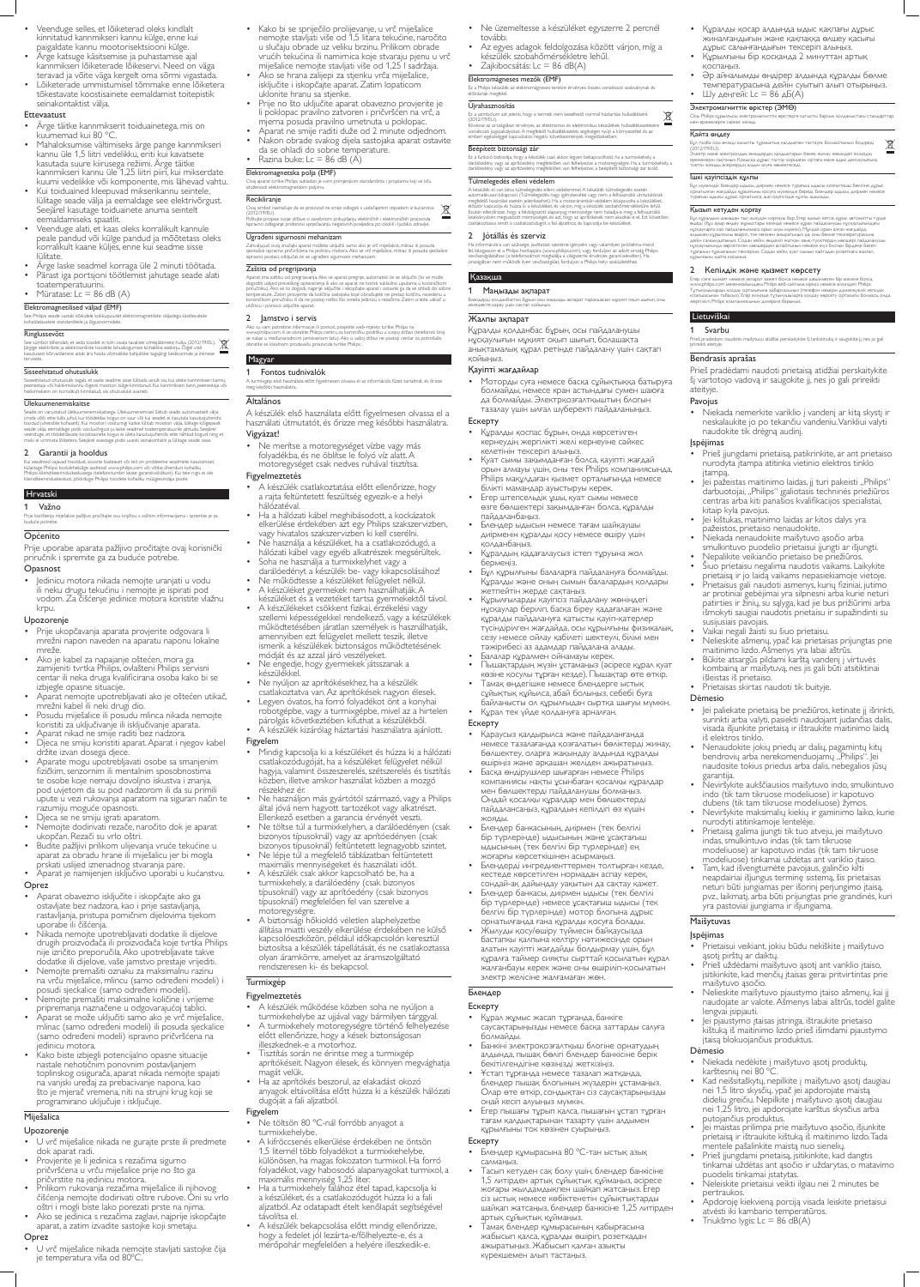- Veenduge selles, et lõiketerad oleks kindlalt kinnitatud kannmikseri kannu külge, enne kui paigaldate kannu mootorisektsiooni külge.
- Ärge katsuge käsitsemise ja puhastamise ajal kannmikseri lõiketerade lõikeservi. Need on väga teravad ja võite väga kergelt oma sõrmi vigastada.
- Lõiketerade ummistumisel tõmmake enne lõiketera tõkestavate koostisainete eemaldamist toitepistik seinakontaktist välja.

- Ärge täitke kannmikserit toiduainetega, mis on kuumemad kui 80 °C.
- Mahaloksumise vältimiseks ärge pange kannmikseri kannu üle 1,5 liitri vedelikku, eriti kui kavatsete kasutada suure kiirusega režiimi. Ärge täitke kannmikseri kannu üle 1,25 liitri piiri, kui mikserdate kuumi vedelikke või komponente, mis lähevad vahtu.
- Kui toiduained kleepuvad mikserikannu seintele, lülitage seade välja ja eemaldage see elektrivõrgust. Seejärel kasutage toiduainete anuma seintelt eemaldamiseks spaatlit.
- Veenduge alati, et kaas oleks korralikult kannule peale pandud või külge pandud ja mõõtetass oleks korralikult kaane küljes, enne kui seadme sisse **lülitate**
- Ärge laske seadmel korraga üle 2 minuti töötada.
- Pärast iga portsjoni töötlemist jahutage seade alati
- toatemperatuurini.
- Müratase: Lc = 86 dB  $(A)$

# Ettevaatust

# Elektromagnetilised väljad (EMF)

See Philipsi seade vastab kõikidele kokkupuudet elektromagnetiliste väljadega käsitlevatele kohaldatavatele standarditele ja õigusnormidele.

# Ringlussevõtt

Kui seadmed vajavad hooldust, soovite lisateavet või teil on probleeme seadmete kasutamisel,<br>külastage Philipsi kodulehekülge aadressil www.philips.com või võtke ühendust kohaliku Philipsi klienditeeninduskeskusega (telefoninumbri leiate garantiivoldikust). Kui teie riigis ei ole klienditeeninduskeskust, pöörduge Philipsi toodete kohaliku müügiesindaja poole.

See sümbol tähendab, et seda toodet ei tohi visata tavaliste olmejäätmete hulka (2012/19/EL). Järgige elektriliste ja elektrooniliste toodete lahuskogumise kohalikke eeskirju. Õigel viisil kasutusest kõrvaldamine aitab ära hoida võimalikke kahjulikke tagajärgi keskkonnale ja inimese tervisele.

### Sisseehitatud ohutuslukk

Sisseehitatud ohutuslukk tagab, et saate seadme sisse lülitada ainult siis, kui olete kannmikseri kannu, peenestaja või hakkimiskannu õigesti mootori külge kinnitanud. Kui kannmikseri kann, peenestaja või hakkimiskann on korralikult kinnitatud, siis ohutuslukk avaneb.

### Ülekuumenemiskaitse

Seade on varustatud ülekuumenemiskaitsega. Ülekuumenemisel lülitub seade automaatselt välja (mida võib ette tulla juhul, kui töödeldav kogus on suur või kui seadet ei kasutata kasutusjuhendis toodud juhendite kohaselt). Kui mootori vooluringi kaitse lülitab mootori välja, lülitage kõigepealt seade välja, eemaldage pistik vooluvõrgust ja laske seadmel toatemperatuurile jahtuda. Seejärel veenduge, et töödeldavate koostisainete kogus ei ületa kasutusjuhendis ette nähtud kogust ning et miski ei ummista lõiketera. Seejärel sisestage pistik uuesti seinakontakti ja lülitage seade sisse.

# 2 Garantii ja hooldus

# Hrvatski

1 Važno

#### Prije korištenja miješalice pažljivo pročitajte ovu knjižicu s važnim informacijama i spremite je za buduće potrebe.

# Općenito

- Kako bi se spriječilo prolijevanje, u vrč miješalice nemojte stavljati više od 1,5 litara tekućine, naročito u slučaju obrade uz veliku brzinu. Prilikom obrade vrućih tekućina ili namirnica koje stvaraju pjenu u vrč miješalice nemojte stavljati više od 1,25 l sadržaja.
- Ako se hrana zalijepi za stjenku vrča miješalice, isključite i iskopčajte aparat. Zatim lopaticom uklonite hranu sa stjenke.
- Prije no što uključite aparat obavezno provjerite je li poklopac pravilno zatvoren i pričvršćen na vrč, a mjerna posuda pravilno umetnuta u poklopac.
- Aparat ne smije raditi duže od 2 minute odjednom. • Nakon obrade svakog dijela sastojaka aparat ostavite
- da se ohladi do sobne temperature. Razina buke:  $Lc = 86$  dB (A)

Prije uporabe aparata pažljivo pročitajte ovaj korisnički priručnik i spremite ga za buduće potrebe.

# **Opasnost**

• Jedinicu motora nikada nemojte uranjati u vodu ili neku drugu tekućinu i nemojte je ispirati pod vodom. Za čišćenje jedinice motora koristite vlažnu krpu.

# Upozorenje

- Prije ukopčavanja aparata provjerite odgovara li mrežni napon naveden na aparatu naponu lokalne mreže.
- Ako je kabel za napajanje oštećen, mora ga zamijeniti tvrtka Philips, ovlašteni Philips servisni centar ili neka druga kvalificirana osoba kako bi se izbjegle opasne situacije. • Aparat nemojte upotrebljavati ako je oštećen utikač, mrežni kabel ili neki drugi dio. • Posudu miješalice ili posudu mlinca nikada nemojte koristiti za uključivanje ili isključivanje aparata.

Zahvaljujući ovoj značajki aparat možete uključiti samo ako je vrč miješalice, mlinac ili posuda<br>sjeckalice ispravno pričvršćena na jedinicu motora. Ako se vrč miješalice, mlinac ili posuda sjeckalice ispravno postavi, otključat će se ugrađeni sigurnosni mehanizam.

Aparat ima zaštitu od pregrijavanja. Ako se aparat pregrije, automatski će se isključiti (to se može<br>dogoditi uslijed prevelikog opterećenja ili ako se aparat ne koristi sukladno uputama u korisničkom<br>priručniku). Ako se t temperature. Zatim provjerite da količina sastojaka koje obrađujete ne prelazi količinu navedenu u korisničkom priručniku ili da ne postoji nešto što ometa jedinicu s rezačima. Zatim vratite utikač u utičnicu i ponovo uključite aparat.

• Ne merítse a motoregységet vízbe vagy más folyadékba, és ne öblítse le folyó víz alatt. A motoregységet csak nedves ruhával tisztítsa.

- Aparat nikad ne smije raditi bez nadzora.
- Djeca ne smiju koristiti aparat. Aparat i njegov kabel držite izvan dosega djece.
- Aparate mogu upotrebljavati osobe sa smanjenim fizičkim, senzornim ili mentalnim sposobnostima te osobe koje nemaju dovoljno iskustva i znanja, pod uvjetom da su pod nadzorom ili da su primili upute u vezi rukovanja aparatom na siguran način te razumiju moguće opasnosti.
- Djeca se ne smiju igrati aparatom.
- Nemojte dodirivati rezače, naročito dok je aparat ukopčan. Rezači su vrlo oštri.
- Budite pažljivi prilikom ulijevanja vruće tekućine u aparat za obradu hrane ili miješalicu jer bi mogla prskati uslijed iznenadnog stvaranja pare.
- Aparat je namijenjen isključivo uporabi u kućanstvu. Oprez
- Aparat obavezno isključite i iskopčajte ako ga ostavljate bez nadzora, kao i prije sastavljanja, rastavljanja, pristupa pomičnim dijelovima tijekom uporabe ili čišćenja.
- Nikada nemojte upotrebljavati dodatke ili dijelove drugih proizvođača ili proizvođača koje tvrtka Philips nije izričito preporučila. Ako upotrebljavate takve dodatke ili dijelove, vaše jamstvo prestaje vrijediti.
- Nemojte premašiti oznaku za maksimalnu razinu na vrču miješalice, mlincu (samo određeni modeli) i posudi sjeckalice (samo određeni modeli).
- Nemojte premašiti maksimalne količine i vrijeme pripremanja naznačene u odgovarajućoj tablici.
- Aparat se može uključiti samo ako je vrč miješalice, mlinac (samo određeni modeli) ili posuda sjeckalice (samo određeni modeli) ispravno pričvršćena na jedinicu motora.
- Kako biste izbjegli potencijalno opasne situacije nastale nehotičnim ponovnim postavljanjem toplinskog osigurača, aparat nikada nemojte spajati na vanjski uređaj za prebacivanje napona, kao što je mjerač vremena, niti na strujni krug koji se programirano uključuje i isključuje.

# Miješalica

# Upozorenje

- U vrč miješalice nikada ne gurajte prste ili predmete dok aparat radi.
- Provjerite je li jedinica s rezačima sigurno pričvršćena u vrču miješalice prije no što ga pričvrstite na jedinicu motora.
- Prilikom rukovanja rezačima miješalice ili njihovog čišćenja nemojte dodirivati oštre rubove. Oni su vrlo oštri i mogli biste lako porezati prste na njima.
- Ako se jedinica s rezačima zaglavi, najprije iskopčajte aparat, a zatim izvadite sastojke koji smetaju.

# Oprez

• U vrč miješalice nikada nemojte stavljati sastojke čija je temperatura viša od 80ºC.

- Ne töltsön 80 °C-nál forróbb anyagot a turmixkehelybe.
- A kifröccsenés elkerülése érdekében ne öntsön 1,5 liternél több folyadékot a turmixkehelybe, különösen, ha magas fokozaton turmixol. Ha forró folyadékot, vagy habosodó alapanyagokat turmixol, a maximális mennyiség 1,25 liter.
- Ha a turmixkehely falához étel tapad, kapcsolja ki a készüléket, és a csatlakozódugót húzza ki a fali aljzatból. Az odatapadt ételt kenőlapát segítségével távolítsa el.
- A készülék bekapcsolása előtt mindig ellenőrizze, hogy a fedelet jól lezárta-e/fölhelyezte-e, és a mérőpohár megfelelően a helyére illeszkedik-e.
- Ne üzemeltesse a készüléket egyszerre 2 percnél tovább.
- Az egyes adagok feldolgozása között várjon, míg a készülék szobahőmérsékletre lehűl.
- Zajkibocsátás: Lc = 86 dB $(A)$

Ez a Philips készülék az elektromágneses terekre érvényes összes vonatkozó szabványnak és előírásnak megfele

### Elektromagnetska polja (EMF)

Ovaj aparat tvrtke Philips sukladan je svim primjenjivim standardima i propisima koji se tiču izloženosti elektromagnetskim poljima.

# **Recikliranie**

Ovaj simbol naznačuje da se proizvod ne smije odlagati s uobičajenim otpadom iz kućanstva (2012/19/EU). Poštujte propise svoje države o zasebnom prikupljanju električnih i elektroničkih proizvoda. Ispravno odlaganje pridonosi sprječavanju negativnih posljedica po okoliš i ljudsko zdravlje.

#### Ugrađeni sigurnosni mehanizam

# Zaštita od pregrijavanja

### 2 Jamstvo i servis

Ako su vam potrebne informacije ili pomoć, posjetite web-mjesto tvrtke Philips na www.philips.com ili se obratite Philips centru za korisničku podršku u svojoj državi (telefonski broj se nalazi u međunarodnom jamstvenom listu). Ako u vašoj državi ne postoji centar za potrošače, obratite se lokalnom prodavaču proizvoda tvrtke Philips.

### Magyar

#### 1 Fontos tudnivalók

A turmixgép első használata előtt figyelmesen olvassa el az információs füzet tartalmát, és őrizze meg későbbi használatra.

# Általános

A készülék első használata előtt figyelmesen olvassa el a használati útmutatót, és őrizze meg későbbi használatra.

# Vigyázat!

### Figyelmeztetés

- Әр айналымды өндірер алдында құралды бөлме температурасына дейін суытып алып отырыңыз.
- $\Box$  Ду деңгейі: Lc = 86 дБ(A)

- A készülék csatlakoztatása előtt ellenőrizze, hogy a rajta feltüntetett feszültség egyezik-e a helyi hálózatéval.
- Ha a hálózati kábel meghibásodott, a kockázatok elkerülése érdekében azt egy Philips szakszervizben, vagy hivatalos szakszervizben ki kell cserélni.
- Ne használja a készüléket, ha a csatlakozódugó, a hálózati kábel vagy egyéb alkatrészek megsérültek.
- Soha ne használja a turmixkelyhet vagy a darálóedényt a készülék be- vagy kikapcsolásához!
- Ne működtesse a készüléket felügyelet nélkül.
- A készüléket gyermekek nem használhatják. A készüléket és a vezetéket tartsa gyermekektől távol.
- A készülékeket csökkent fizikai, érzékelési vagy szellemi képességekkel rendelkező, vagy a készülékek működtetésében járatlan személyek is használhatják, amennyiben ezt felügyelet mellett teszik, illetve ismerik a készülékek biztonságos működtetésének módját és az azzal járó veszélyeket.
- Ne engedje, hogy gyermekek játsszanak a

Бұл мүмкіндік блендер ыдысы, диірмен немесе турағыш ыдысы қозғалтқыш бөлігіне дұрыс орнатылған жағдайда құрылғыны қосуға мүмкіндік береді. Блендер ыдысы, диірмен неме

Бұл құралдың шамадан тыс қызудан қорғауы бар. Егер қызып кетсе, құрал автоматты түрде өшеді (бұл ауыр өңдеу жұмыстары кезінде немесе құрал пайдаланушы нұсқаулығындағы нұсқауларға сай пайдаланылмаса орын алуы мүмкін). Мұндай орын алған жағдайда, алдымен құрылғыны өшіріп, ток көзінен ажыратыңыз да, оны бөлме температурасына дейін салқындатыңыз. Содан кейін, өңделіп жатқан азық-түліктердің мөлшері пайдаланушы<br>нұсқаулығында көрсетілген мөлшерден аспайтынын немесе жүз блогын бірдеңе бөгеп тұрғанын-тұрмағанын тексеріңіз. Содан кейін, қуат сымын қайтадан розеткаға жалғап,<br>құрылғыны қайта қосыңыз.

- készülékkel. • Ne nyúljon az aprítókésekhez, ha a készülék
- csatlakoztatva van. Az aprítókések nagyon élesek. • Legyen óvatos, ha forró folyadékot önt a konyhai robotgépbe, vagy a turmixgépbe, mivel az a hirtelen párolgás következtében kifuthat a készülékből.
- A készülék kizárólag háztartási használatra ajánlott.

# Figyelem

Jei pažeistas maitinimo laidas, jį turi pakeisti "Philips" darbuotojai, "Philips" įgaliotasis techninės priežiūros centras arba kiti panašios kvalifikacijos specialistai,

- Mindig kapcsolja ki a készüléket és húzza ki a hálózati csatlakozódugóját, ha a készüléket felügyelet nélkül hagyja, valamint összeszerelés, szétszerelés és tisztítás közben, illetve amikor használat közben a mozgó részekhez ér.
- Ne használjon más gyártótól származó, vagy a Philips által jóvá nem hagyott tartozékot vagy alkatrészt. Ellenkező esetben a garancia érvényét veszti.
- Ne töltse túl a turmixkelyhen, a darálóedényen (csak bizonyos típusoknál) vagy az aprítóedényen (csak bizonyos típusoknál) feltüntetett legnagyobb szintet.
- Ne lépje túl a megfelelő táblázatban feltüntetett maximális mennyiségeket és használati időt.
- A készülék csak akkor kapcsolható be, ha a turmixkehely, a darálóedény (csak bizonyos típusoknál) vagy az aprítóedény (csak bizonyos típusoknál) megfelelően fel van szerelve a motoregységre.
- A biztonsági hőkioldó véletlen alaphelyzetbe állítása miatti veszély elkerülése érdekében ne külső kapcsolóeszközön, például időkapcsolón keresztül biztosítsa a készülék tápellátását, és ne csatlakoztassa olyan áramkörre, amelyet az áramszolgáltató rendszeresen ki- és bekapcsol.

# Turmixgép

# Figyelmeztetés

- A készülék működése közben soha ne nyúljon a turmixkehelybe az ujjával vagy bármilyen tárggyal.
- A turmixkehely motoregységre történő felhelyezése előtt ellenőrizze, hogy a kések biztonságosan illeszkednek-e a motorhoz.
- Tisztítás során ne érintse meg a turmixgép aprítókéseit. Nagyon élesek, és könnyen megvághatja magát velük.
- Ha az aprítókés beszorul, az elakadást okozó anyagok eltávolítása előtt húzza ki a készülék hálózati dugóját a fali aljzatból.
- Niekada nedėkite į maišytuvo ąsotį produktų, karštesnių nei 80 ºC.
- Kad neišsitaškytų, nepilkite į maišytuvo ąsotį daugiau nei 1,5 litro skysčių, ypač jei apdorojate maistą dideliu greičiu. Nepilkite į maišytuvo ąsotį daugiau nei 1,25 litro, jei apdorojate karštus skysčius arba putojančius produktus.
- Jei maistas prilimpa prie maišytuvo ąsočio, išjunkite prietaisą ir ištraukite kištuką iš maitinimo lizdo. Tada mentele pašalinkite maistą nuo sienelių.
- Prieš įjungdami prietaisą, įsitikinkite, kad dangtis tinkamai uždėtas ant ąsočio ir uždarytas, o matavimo puodelis tinkamai įstatytas.
- Neleiskite prietaisui veikti ilgiau nei 2 minutes be pertraukos.
- Apdoroję kiekvieną porciją visada leiskite prietaisui atvėsti iki kambario temperatūros.
- Triukšmo lygis: Lc = 86 dB(A)

# Figyelem

# Elektromágneses mezők (EMF)

### Újrahasznosítás

Ez a szimbólum azt jelenti, hogy a termék nem kezelhető normál háztartási hulladékként (2012/19/EU).

Kövesse az országában érvényes, az elektromos és elektronikus készülékek hulladékkezelésére vonatkozó jogszabályokat. A megfelelő hulladékkezelés segítséget nyújt a környezettel és az emberi egészséggel kapcsolatos negatív következmények megelőzésében.

### Beépített biztonsági zár

Ez a funkció biztosítja, hogy a készülék csak akkor legyen bekapcsolható, ha a turmixkehely, a darálóedény vagy az aprítóedény megfelelően van felhelyezve a motoregységre. Ha a turmixkehely, a darálóedény vagy az aprítóedény megfelelően van felhelyezve, a beépített biztonsági zár kiold.

#### Túlmelegedés elleni védelem

A készülék el van látva túlmelegedés elleni védelemmel. A készülék túlmelegedés esetén automatikusan kikapcsol. (Túlmelegedés nagy igénybevétel vagy nem a felhasználói útmutatónak megfelelő használat esetén jelentkezhet). Ha a motoráramkör-védelem kikapcsolta a készüléket, először kapcsolja és húzza ki a készüléket, és várjon, míg a készülék szobahőmérsékletűre lehűl. Ezután ellenőrizze, hogy a feldolgozott alapanyag mennyisége nem haladja-e meg a felhasználói kézikönyvben megszabott mennyiséget, és azt, hogy az aprítókések nem akadtak-e el. Ezt követően csatlakoztassa ismét a csatlakozódugót a fali aljzathoz, és kapcsolja be készüléket.

### 2 Jótállás és szerviz

Ha információra van szüksége, javíttatást szeretne igényelni vagy valamilyen probléma merül fel, látogasson el a Philips honlapjára (www.philips.com), vagy forduljon az adott ország Philips vevőszolgálatához (a telefonszámot megtalálja a világszerte érvényes garancialevélen). Ha országában nem működik ilyen vevőszolgálat, forduljon a Philips helyi szaküzletéhez.

# Қазақша

### 1 Маңызды ақпарат

Блендерді қолданбастан бұрын осы маңызды ақпарат парақшасын мұқият оқып шығып, оны келешекте қарау үшін сақтап қойыңыз.

# Жалпы ақпарат

Құралды қолданбас бұрын, осы пайдаланушы нұсқаулығын мұқият оқып шығып, болашақта анықтамалық құрал ретінде пайдалану үшін сақтап қойыңыз.

### Қауіпті жағдайлар

• Моторды суға немесе басқа сұйықтыққа батыруға болмайды, немесе кран астындағы сумен шаюға да болмайды. Электрқозғалтқыштың блогын тазалау үшін ылғал шүберекті пайдаланыңыз.

## Ескерту

- Құралды қоспас бұрын, онда көрсетілген кернеудің жергілікті желі кернеуіне сәйкес келетінін тексеріп алыңыз.
- Қуат сымы зақымданған болса, қауіпті жағдай орын алмауы үшін, оны тек Philips компаниясында, Philips мақұлдаған қызмет орталығында немесе білікті мамандар ауыстыруы керек.
- Егер штепсельдік ұшы, қуат сымы немесе өзге бөлшектері зақымданған болса, құралды пайдаланбаңыз.
- Блендер ыдысын немесе тағам шайқаушы диірменін құралды қосу немесе өшіру үшін қолданбаңыз.
- Құралдың қадағалаусыз істеп тұруына жол бермеңіз.
- Бұл құрылғыны балаларға пайдалануға болмайды. Құралды және оның сымын балалардың қолдары жетпейтін жерде сақтаңыз.
- Құрылғыларды қауіпсіз пайдалану жөніндегі нұсқаулар беріліп, басқа біреу қадағалаған және құралды пайдалануға қатысты қауіп-қатерлер түсіндірілген жағдайда, осы құрылғыны физикалық, сезу немесе ойлау қабілеті шектеулі, білімі мен тәжірибесі аз адамдар пайдалана алады.
- Балалар құралмен ойнамауы керек. • Пышақтардың жүзін ұстамаңыз (әсіресе құрал қуат
- көзіне қосулы тұрған кезде). Пышақтар өте өткір.
- Тамақ өңдегішке немесе блендерге ыстық сұйықтық құйылса, абай болыңыз, себебі буға байланысты ол құрылғыдан сыртқа шығуы мүмкін.
- Құрал тек үйде қолдануға арналған.

# Ескерту

- Қараусыз қалдырылса және пайдаланғанда немесе тазалағанда қозғалатын бөліктерді жинау, бөлшектеу, оларға жақындау алдында құралды өшіріңіз және әрқашан желіден ажыратыңыз.
- Басқа өндірушілер шығарған немесе Philips компаниясы нақты ұсынбаған қосалқы құралдар мен бөлшектерді пайдаланушы болмаңыз. Ондай қосалқы құралдар мен бөлшектерді пайдалансаңыз, құралдың кепілдігі өз күшін жояды.
- Блендер банкасының, диірмен (тек белгілі бір түрлерінде) ыдысының және ұсақтағыш ыдысының (тек белгілі бір түрлерінде) ең жоғарғы көрсеткішінен асырмаңыз.
- Блендерді ингредиенттермен толтырған кезде, кестеде көрсетілген нормадан аспау керек, сондай-ақ дайындау уақытын да сақтау қажет.
- Блендер банкасы, диірмен ыдысы (тек белгілі бір түрлерінде) немесе ұсақтағыш ыдысы (тек белгілі бір түрлерінде) мотор блогына дұрыс орнатылғанда ғана құралды қосуға болады.
- Жылуды қосу/өшіру түймесін байқаусызда бастапқы қалпына келтіру нәтижесінде орын алатын қауіпті жағдайды болдырмау үшін, бұл құралға таймер сияқты сырттай қосылатын құрал жалғанбауы керек және оны өшіріліп-қосылатын электр желісіне жалғамаған жөн.

# Блендер

# Ескерту

- Құрал жұмыс жасап тұрғанда, банкіге саусақтарыңызды немесе басқа заттарды салуға болмайды.
- Банкіні электроқозғалтқыш блогіне орнатудың алдында, пышақ бөлігі блендер банкісіне берік бекітілгендігіне көзіңізді жеткізіңіз.
- Ұстап тұрғанда немесе тазалап жатқанда, блендер пышақ блогының жүздерін ұстамаңыз. Олар өте өткір, сондықтан сіз саусақтарыңызды оңай кесіп алуыңыз мүмкін.
- Егер пышағы тұрып қалса, пышағын ұстап тұрған тағам қалдықтарынан тазарту үшін алдымен құрылғыны ток көзінен суырыңыз.

# Ескерту

- Блендер құмырасына 80 ºC-тан ыстық азық салмаңыз.
- Тасып кетуден сақ болу үшін, блендер банкісіне 1,5 литірден артық сұйықтық құймаңыз, әсіресе жоғары жылдамдықпен шайқап жатсаңыз. Егер сіз ыстық немесе көбіктенетін сұйықтықтарды шайқап жатсаңыз, блендер банкісіне 1,25 литірден артық сұйықтық құймаңыз.
- Тамақ блендер құмырасының қабырғасына жабысып қалса, құралды өшіріп, розеткадан ажыратыңыз. Жабысып қалған азықты күрекшемен алып тастаңыз.
- Құралды қосар алдында ыдыс қақпағы дұрыс жиналғандығын және қақпаққа өлшеу қасығы дұрыс салынғандығын тексеріп алыңыз.
- Құрылғыны бір қосқанда 2 минуттан артық қоспаңыз.

# Электромагниттік өрістер (ЭМӨ)

Осы Philips құрылғысы электромагниттік өрістерге қатысты барлық қолданыстағы стандарттар мен ережелерге сәйкес келеді.

 $\boxtimes$ 

#### Қайта өңдеу

Бұл таңба осы өнімді қалыпты тұрмыстық қалдықпен тастауға болмайтынын білдіреді

(2012/19/EU).

 $\widehat{\boxtimes}$ 

Электр және электрондық өнімдердің қалдықтарын бөлек жинау жөніндегі еліңіздің ережелерін сақтаңыз. Қоқысқа дұрыс тастау қоршаған ортаға және адам денсаулығына

тиетін зиянды әсерлердің алдын алуға көмектеседі.

Ішкі қауіпсіздік құлпы

турағыш ыдысы дұрыс орнатылса, ішкі қауіпсіздік құлпы ашылады.

Қызып кетуден қорғау

2 Кепілдік және қызмет көрсету

Егер сізге қызмет немесе ақпарат қажет болса немесе шешілмеген бір мәселе болса, www.philips.com мекенжайындағы Philips веб-сайтына кіріңіз немесе еліңіздегі Philips Тұтынушыларды қолдау орталығына хабарласыңыз (телефон нөмірін дүниежүзілік кепілдік кітапшасынан табасыз). Егер еліңізде тұтынушыларға қолдау көрсету орталығы болмаса, онда жергілікті Philips компаниясының дилеріне барыңыз.

Lietuviškai 1 Svarbu

Prieš pradėdami naudotis maišytuvu atidžiai perskaitykite šį lankstinuką ir saugokite jį, nes jo gali

prireikti ateityje.

Bendrasis aprašas

Prieš pradėdami naudoti prietaisą atidžiai perskaitykite šį vartotojo vadovą ir saugokite jį, nes jo gali prireikti

ateityje. Pavojus

• Niekada nemerkite variklio į vandenį ar kitą skystį ir neskalaukite jo po tekančiu vandeniu. Varikliui valyti

naudokite tik drėgną audinį.

Įspėjimas

• Prieš įjungdami prietaisą, patikrinkite, ar ant prietaiso nurodyta įtampa atitinka vietinio elektros tinklo

įtampą.

kitaip kyla pavojus.

• Jei kištukas, maitinimo laidas ar kitos dalys yra

pažeistos, prietaiso nenaudokite.

• Niekada nenaudokite maišytuvo ąsočio arba smulkintuvo puodelio prietaisui įjungti ar išjungti. • Nepalikite veikiančio prietaiso be priežiūros. • Šiuo prietaisu negalima naudotis vaikams. Laikykite prietaisą ir jo laidą vaikams nepasiekiamoje vietoje. • Prietaisus gali naudoti asmenys, kurių fiziniai, jutimo ar protiniai gebėjimai yra silpnesni arba kurie neturi patirties ir žinių, su sąlyga, kad jie bus prižiūrimi arba išmokyti saugiai naudotis prietaisu ir supažindinti su

susijusiais pavojais.

• Vaikai negali žaisti su šiuo prietaisu.

• Nelieskite ašmenų, ypač kai prietaisas prijungtas prie

maitinimo lizdo. Ašmenys yra labai aštrūs. • Būkite atsargūs pildami karštą vandenį į virtuvės

kombainą ar maišytuvą, nes jis gali būti atsitiktinai išleistas iš prietaiso.

• Prietaisas skirtas naudoti tik buityje.

# Dėmesio

- Jei paliekate prietaisą be priežiūros, ketinate jį išrinkti, surinkti arba valyti, pasiekti naudojant judančias dalis, visada išjunkite prietaisą ir ištraukite maitinimo laidą iš elektros tinklo.
- Nenaudokite jokių priedų ar dalių, pagamintų kitų bendrovių arba nerekomenduojamų "Philips". Jei naudosite tokius priedus arba dalis, nebegalios jūsų garantija.
- Neviršykite aukščiausios maišytuvo indo, smulkintuvo indo (tik tam tikruose modeliuose) ir kapotuvo dubens (tik tam tikruose modeliuose) žymos.
- Neviršykite maksimalių kiekių ir gaminimo laiko, kurie nurodyti atitinkamoje lentelėje.
- Prietaisą galima įjungti tik tuo atveju, jei maišytuvo indas, smulkintuvo indas (tik tam tikruose modeliuose) ar kapotuvo indas (tik tam tikruose modeliuose) tinkamai uždėtas ant variklio įtaiso.
- Tam, kad išvengtumėte pavojaus, galinčio kilti neapdairiai išjungus terminę sistemą, šis prietaisas neturi būti jungiamas per išorinį perjungimo įtaisą, pvz., laikmatį, arba būti prijungtas prie grandinės, kuri yra pastoviai įjungiama ir išjungiama.

# Maišytuvas

# Įspėjimas

- Prietaisui veikiant, jokiu būdu nekiškite į maišytuvo ąsotį pirštų ar daiktų.
- Prieš uždėdami maišytuvo ąsotį ant variklio įtaiso, įsitikinkite, kad menčių įtaisas gerai pritvirtintas prie maišytuvo ąsočio.
- Nelieskite maišytuvo pjaustymo įtaiso ašmenų, kai jį naudojate ar valote. Ašmenys labai aštrūs, todėl galite lengvai įsipjauti.
- Jei pjaustymo įtaisas įstringa, ištraukite prietaiso kištuką iš maitinimo lizdo prieš išimdami pjaustymo įtaisą blokuojančius produktus.

# Dėmesio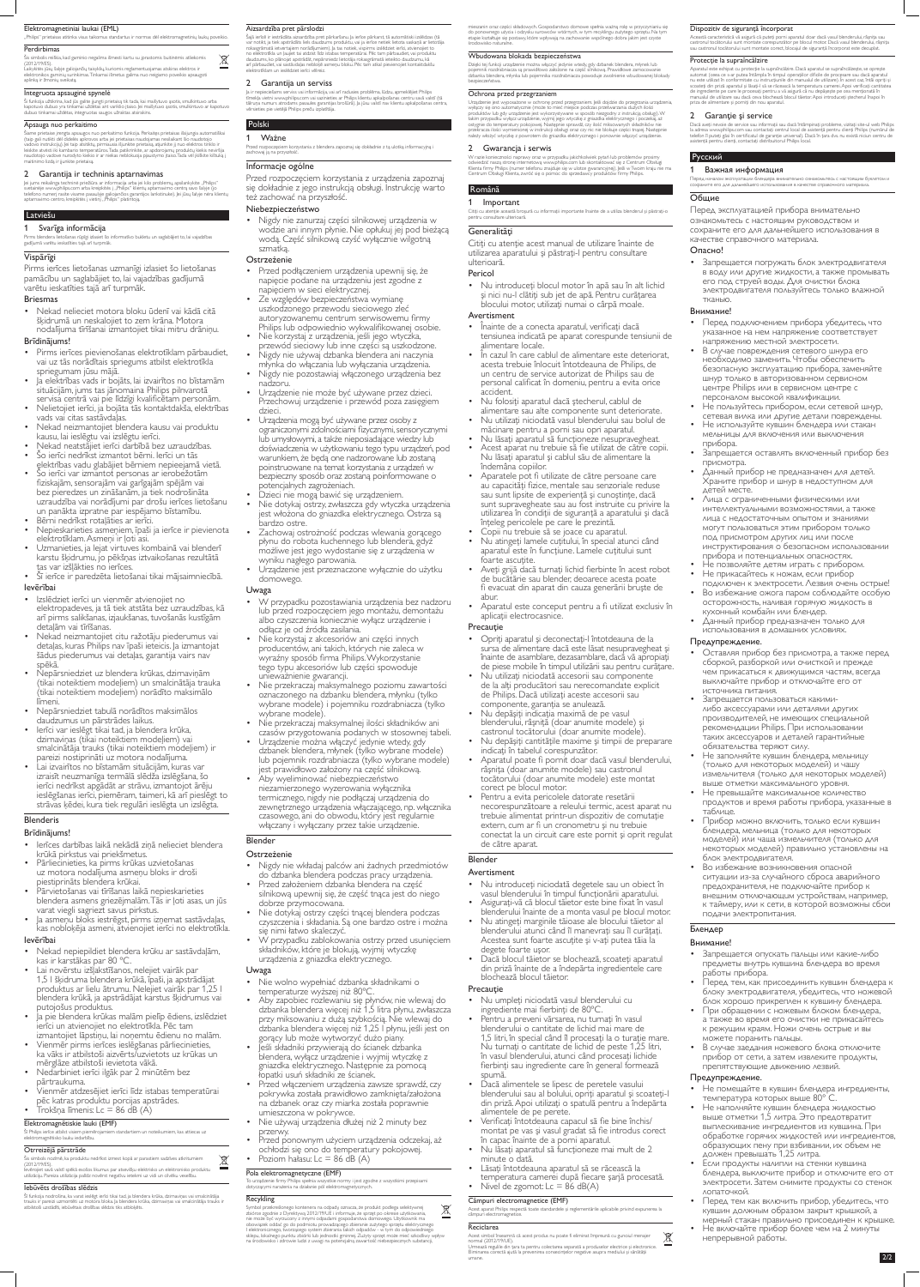# Elektromagnetiniai laukai (EML)

#### "Philips" prietaisas atitinka visus taikomus standartus ir normas dėl elektromagnetinių laukų poveikio

### **Perdirbimas**

Ši funkcija užtikrina, kad jūs galite įjungti prietaisą tik tada, kai maišytuvo ąsotis, smulkintuvo arba kapotuvo dubuo yra tinkamai uždėtas ant variklio įtaiso. Jei maišytuvo ąsotis, smulkintuvo ar kapotuvo<br>dubuo tinkamai uždėtas, integruotas saugos užraktas atsirakins.

Šis simbolis reiškia, kad gaminio negalima išmesti kartu su įprastomis buitinėmis atliekomis (2012/19/ES). Laikykitės jūsų šalyje galiojančių taisyklių, kuriomis reglamentuojamas atskiras elektros ir elektronikos gaminių surinkimas. Tinkamai išmetus galima nuo neigiamo poveikio apsaugoti

aplinką ir žmonių sveikatą.

# Integruota apsauginė spynelė

Siame prietaise įrengta apsaugos nuo perkaitimo funkcija. Perkaitęs prietaisas išsijungia automatiškai<br>(taip gali nutikti dėl didelės apkrovos arba jei prietaisas naudojamas nesilaikant šio naudotojo vadovo instrukcijų). Jei taip atsitiktų, pirmiausia išjunkite prietaisą, atjunkite jį nuo elektros tinklo ir leiskite atvėsti iki kambario temperatūros. Tada patikrinkite, ar apdorojamų produktų kiekis neviršija naudotojo vadove nurodyto kiekio ir ar niekas neblokuoja pjaustymo įtaiso. Tada vėl įkiškite kištuką į maitinimo lizdą ir įjunkite prietaisą.

### Apsauga nuo perkaitimo

# 2 Garantija ir techninis aptarnavimas

Jei jums reikalinga techninė priežiūra ar informacija arba jei kilo problemų, apsilankykite "Philips"<br>svetainėje www.philips.com arba kreipkitės į "Philips" klientų aptarnavimo centrą savo šalyje (jo telefono numerį rasite visame pasaulyje galiojančios garantijos lankstinuke). Jei jūsų šalyje nėra klientų<br>aptarnavimo centro, kreipkitės į vietinį "Philips" platintoją.

#### Latviešu

### 1 Svarīga informācija

Pirms blendera lietošanas rūpīgi izlasiet šo informatīvo bukletu un saglabājiet to, lai vajadzības gadījumā varētu ieskatīties tajā arī turpmāk.

# Vispārīgi

Pirms ierīces lietošanas uzmanīgi izlasiet šo lietošanas pamācību un saglabājiet to, lai vajadzības gadījumā varētu ieskatīties tajā arī turpmāk.

### Briesmas

• Nekad nelieciet motora bloku ūdenī vai kādā citā šķidrumā un neskalojiet to zem krāna. Motora nodalījuma tīrīšanai izmantojiet tikai mitru drāniņu.

### Brīdinājums!

Šī funkcija nodrošina, ka varat ieslēgt ierīci tikai tad, ja blendera krūka, dzirnaviņas vai smalcinātāja trauks ir pareizi uzmontēti uz motora bloka. Ja blendera krūka, dzirnaviņas vai smalcinātāja trauks ir<br>atbilstoši uzstādīti, iebūvētais drošības slēdzis tiks atbloķēts.

- Pirms ierīces pievienošanas elektrotīklam pārbaudiet, vai uz tās norādītais spriegums atbilst elektrotīkla spriegumam jūsu mājā.
- Ja elektrības vads ir bojāts, lai izvairītos no bīstamām situācijām, jums tas jānomaina Philips pilnvarotā servisa centrā vai pie līdzīgi kvalificētam personām.
- Nelietojiet ierīci, ja bojāta tās kontaktdakša, elektrības vads vai citas sastāvdaļas.
- Nekad neizmantojiet blendera kausu vai produktu kausu, lai ieslēgtu vai izslēgtu ierīci.
- Nekad neatstājiet ierīci darbībā bez uzraudzības. Šo ierīci nedrīkst izmantot bērni. Ierīci un tās
- elektrības vadu glabājiet bērniem nepieejamā vietā. • Šo ierīci var izmantot personas ar ierobežotām fiziskajām, sensorajām vai garīgajām spējām vai bez pieredzes un zināšanām, ja tiek nodrošināta uzraudzība vai norādījumi par drošu ierīces lietošanu un panākta izpratne par iespējamo bīstamību.
- Bērni nedrīkst rotaļāties ar ierīci.
- Nepieskarieties asmeņiem, īpaši ja ierīce ir pievienota elektrotīklam. Asmeņi ir ļoti asi.
- Uzmanieties, ja lejat virtuves kombainā vai blenderī karstu šķidrumu, jo pēkšņas iztvaikošanas rezultātā tas var izšļākties no ierīces.
- Šī ierīce ir paredzēta lietošanai tikai mājsaimniecībā. Ievērībai
- Izslēdziet ierīci un vienmēr atvienojiet no elektropadeves, ja tā tiek atstāta bez uzraudzības, kā arī pirms salikšanas, izjaukšanas, tuvošanās kustīgām detaļām vai tīrīšanas.
- Nekad neizmantojiet citu ražotāju piederumus vai detaļas, kuras Philips nav īpaši ieteicis. Ja izmantojat šādus piederumus vai detaļas, garantija vairs nav spēkā.
- Nepārsniedziet uz blendera krūkas, dzirnaviņām (tikai noteiktiem modeļiem) un smalcinātāja trauka (tikai noteiktiem modeļiem) norādīto maksimālo līmeni. • Nepārsniedziet tabulā norādītos maksimālos daudzumus un pārstrādes laikus. • Ierīci var ieslēgt tikai tad, ja blendera krūka, dzirnaviņas (tikai noteiktiem modeļiem) vai smalcinātāja trauks (tikai noteiktiem modeļiem) ir pareizi nostiprināti uz motora nodalījuma. • Lai izvairītos no bīstamām situācijām, kuras var izraisīt neuzmanīga termālā slēdža izslēgšana, šo ierīci nedrīkst apgādāt ar strāvu, izmantojot ārēju ieslēgšanas ierīci, piemēram, taimeri, kā arī pieslēgt to strāvas ķēdei, kura tiek regulāri ieslēgta un izslēgta.

Przed rozpoczęciem korzystania z blendera zapoznaj się dokładnie z tą ulotką informacyjną i zachowaj ją na przyszłość

# Brīdinājums!

- Ierīces darbības laikā nekādā ziņā nelieciet blendera krūkā pirkstus vai priekšmetus.
- Pārliecinieties, ka pirms krūkas uzvietošanas uz motora nodalījuma asmeņu bloks ir droši piestiprināts blendera krūkai.
- Pārvietošanas vai tīrīšanas laikā nepieskarieties blendera asmens griezējmalām. Tās ir ļoti asas, un jūs varat viegli sagriezt savus pirkstus.
- Ja asmeņu bloks iestrēgst, pirms izņemat sastāvdaļas, kas nobloķēja asmeni, atvienojiet ierīci no elektrotīkla.

# Ievērībai

- Nekad nepiepildiet blendera krūku ar sastāvdaļām, kas ir karstākas par 80 ºC.
- Lai novērstu izšļakstīšanos, nelejiet vairāk par 1,5 l šķidruma blendera krūkā, īpaši, ja apstrādājat produktus ar lielu ātrumu. Nelejiet vairāk par 1,25 l blendera krūkā, ja apstrādājat karstus šķidrumus vai putojošus produktus.
- Ja pie blendera krūkas malām pielīp ēdiens, izslēdziet ierīci un atvienojiet no elektrotīkla. Pēc tam izmantojiet lāpstiņu, lai noņemtu ēdienu no malām.
- Vienmēr pirms ierīces ieslēgšanas pārliecinieties, ka vāks ir atbilstoši aizvērts/uzvietots uz krūkas un mērglāze atbilstoši ievietota vākā.
- Nedarbiniet ierīci ilgāk par 2 minūtēm bez pārtraukuma.
- Vienmēr atdzesējiet ierīci līdz istabas temperatūrai pēc katras produktu porcijas apstrādes.
- Trokšņa līmenis: Lc = 86 dB (A)
- Nie wolno wypełniać dzbanka składnikami o temperaturze wyższej niż 80ºC.
- Aby zapobiec rozlewaniu się płynów, nie wlewaj do dzbanka blendera więcej niż 1,5 litra płynu, zwłaszcza przy miksowaniu z dużą szybkością. Nie wlewaj do dzbanka blendera więcej niż 1,25 l płynu, jeśli jest on gorący lub może wytworzyć dużo piany.
- Jeśli składniki przywierają do ścianek dzbanka blendera, wyłącz urządzenie i wyjmij wtyczkę z gniazdka elektrycznego. Następnie za pomocą łopatki usuń składniki ze ścianek.
- Przed włączeniem urządzenia zawsze sprawdź, czy pokrywka została prawidłowo zamknięta/założona na dzbanek oraz czy miarka została poprawnie umieszczona w pokrywce.
- Nie używaj urządzenia dłużej niż 2 minuty bez przerwy.
- Przed ponownym użyciem urządzenia odczekaj, aż ochłodzi się ono do temperatury pokojowej. • Poziom hałasu:  $Lc = 86$  dB  $(A)$

# Elektromagnētiskie lauki (EMF)

Šī Philips ierīce atbilst visiem piemērojamiem standartiem un noteikumiem, kas attiecas uz elektromagnētisko lauku iedarbību.

# Otrreizējā pārstrāde

Šis simbols nozīmē, ka produktu nedrīkst izmest kopā ar parastiem sadzīves atkritumiem  $\boxtimes$ (2012/19/ES). Ievērojiet savā valstī spēkā esošos likumus par atsevišķu elektrisko un elektronisko produktu **College** utilizāciju. Pareiza utilizācija palīdz novērst negatīvu ietekmi uz vidi un cilvēku veselību.

### Iebūvēts drošības slēdzis

#### Aizsardzība pret pārslodzi

Šajā ierīcē ir iestrādāta aizsardzība pret pārkaršanu. Ja ierīce pārkarst, tā automātiski izslēdzas (tā var notikt, ja tiek apstrādāts liels daudzums produktu, vai ja ierīce netiek lietota saskaņā ar lietotāja rokasgrāmatā ietvertajiem norādījumiem). Ja tas notiek, vispirms izslēdziet ierīci, atvienojiet to no elektrotīkla un ļaujiet tai atdzist līdz istabas temperatūrai. Pēc tam pārbaudiet, vai produktu daudzums, ko plānojat apstrādāt, nepārsniedz lietotāja rokasgrāmatā ieteikto daudzumu, kā arī pārbaudiet, vai sastāvdaļas nebloķē asmeņu bloku. Pēc tam atkal pievienojiet kontaktdakšu elektrotīklam un ieslēdziet ierīci vēlreiz.

#### 2 Garantija un serviss

Ja ir nepieciešams serviss vai informācija, vai arī radusies problēma, lūdzu, apmeklējiet Philips tīmekļa vietni www.philips.com vai sazinieties ar Philips klientu apkalpošanas centru savā valstī (tā<br>tālruņa numurs atrodams pasaules garantijas brošūrā). Ja jūsu valstī nav klientu apkalpošanas centra, vērsieties pie vietējā Philips preču izplatītāja.

- Înainte de a conecta aparatul, verificaţi dacă tensiunea indicată pe aparat corespunde tensiunii de alimentare locale.
- In cazul în care cablul de alimentare este deteriorat, acesta trebuie înlocuit întotdeauna de Philips, de un centru de service autorizat de Philips sau de personal calificat în domeniu, pentru a evita orice accident.
- Nu folosiți aparatul dacă ștecherul, cablul de alimentare sau alte componente sunt deteriorate.
- Nu utilizaţi niciodată vasul blenderului sau bolul de măcinare pentru a porni sau opri aparatul.
- Nu lăsaţi aparatul să funcţioneze nesupravegheat.
- Acest aparat nu trebuie să fie utilizat de către copii. Nu lăsaţi aparatul şi cablul său de alimentare la îndemâna copiilor.
- Aparatele pot fi utilizate de către persoane care au capacităţi fizice, mentale sau senzoriale reduse sau sunt lipsite de experienţă şi cunoştinţe, dacă sunt supravegheate sau au fost instruite cu privire la utilizarea în condiţii de siguranţă a aparatului şi dacă înţeleg pericolele pe care le prezintă.
- Copii nu trebuie să se joace cu aparatul.
- Nu atingeți lamele cuțitului, în special atunci când aparatul este în funcţiune. Lamele cuţitului sunt foarte ascuţite.
- Aveţi grijă dacă turnaţi lichid fierbinte în acest robot de bucătărie sau blender, deoarece acesta poate fi evacuat din aparat din cauza generării bruşte de abur.
- Aparatul este conceput pentru a fi utilizat exclusiv în aplicatii electrocasnice.

# Polski 1 Ważne

 $\boxtimes$ 

### Informacje ogólne

Przed rozpoczęciem korzystania z urządzenia zapoznaj się dokładnie z jego instrukcją obsługi. Instrukcję warto też zachować na przyszłość.

### Niebezpieczeństwo

• Nigdy nie zanurzaj części silnikowej urządzenia w wodzie ani innym płynie. Nie opłukuj jej pod bieżącą wodą. Część silnikową czyść wyłącznie wilgotną szmatką.

### **Ostrzeżenie**

- Przed podłączeniem urządzenia upewnij się, że napięcie podane na urządzeniu jest zgodne z napięciem w sieci elektrycznej.
- Ze względów bezpieczeństwa wymianę uszkodzonego przewodu sieciowego zleć autoryzowanemu centrum serwisowemu firmy Philips lub odpowiednio wykwalifikowanej osobie. • Nie korzystaj z urządzenia, jeśli jego wtyczka,
- przewód sieciowy lub inne części są uszkodzone. • Nigdy nie używaj dzbanka blendera ani naczynia
- młynka do włączania lub wyłączania urządzenia. • Nigdy nie pozostawiaj włączonego urządzenia bez
- nadzoru. • Urządzenie nie może być używane przez dzieci. Przechowuj urządzenie i przewód poza zasięgiem dzieci.
- Urządzenia mogą być używane przez osoby z ograniczonymi zdolnościami fizycznymi, sensorycznymi lub umysłowymi, a także nieposiadające wiedzy lub doświadczenia w użytkowaniu tego typu urządzeń, pod warunkiem, że będą one nadzorowane lub zostaną poinstruowane na temat korzystania z urządzeń w bezpieczny sposób oraz zostaną poinformowane o potencjalnych zagrożeniach.
- Dzieci nie mogą bawić się urządzeniem.
- Nie dotykaj ostrzy, zwłaszcza gdy wtyczka urządzenia jest włożona do gniazdka elektrycznego. Ostrza są bardzo ostre.
- Zachowaj ostrożność podczas wlewania gorącego płynu do robota kuchennego lub blendera, gdyż możliwe jest jego wydostanie się z urządzenia w wyniku nagłego parowania.
- Urządzenie jest przeznaczone wyłącznie do użytku domowego.

- Nu umpleţi niciodată vasul blenderului cu ingrediente mai fierbinţi de 80ºC.
- Pentru a preveni vărsarea, nu turnaţi în vasul blenderului o cantitate de lichid mai mare de 1,5 litri, în special când îl procesaţi la o turaţie mare. Nu turnaţi o cantitate de lichid de peste 1,25 litri, în vasul blenderului, atunci când procesaţi lichide fierbinţi sau ingrediente care în general formează spumă.
- Dacă alimentele se lipesc de peretele vasului blenderului sau al bolului, opriţi aparatul şi scoateţi-l din priză. Apoi utilizaţi o spatulă pentru a îndepărta alimentele de pe perete.
- Verificați întotdeauna capacul să fie bine închis/ montat pe vas şi vasul gradat să fie introdus corect în capac înainte de a porni aparatul.
- Nu lăsaţi aparatul să funcţioneze mai mult de 2 minute o dată.
- Lăsaţi întotdeauna aparatul să se răcească la temperatura camerei după fiecare şarjă procesată. • Nivel de zgomot:  $Lc = 86$  dB(A)

# Uwaga

- W przypadku pozostawiania urządzenia bez nadzoru lub przed rozpoczęciem jego montażu, demontażu albo czyszczenia koniecznie wyłącz urządzenie i odłącz je od źródła zasilania.
- Nie korzystaj z akcesoriów ani części innych producentów, ani takich, których nie zaleca w wyraźny sposób firma Philips. Wykorzystanie tego typu akcesoriów lub części spowoduje

Această caracteristică vă asigură că puteți porni aparatul doar dacă vasul blenderului, râșnița sau<br>castronul tocătorului sunt montate corespunzător pe blocul motor. Dacă vasul blenderului, râșnița sau castronul tocătorului sunt montate corect, blocajul de siguranţă încorporat este decuplat.

- unieważnienie gwarancji.
- Nie przekraczaj maksymalnego poziomu zawartości oznaczonego na dzbanku blendera, młynku (tylko wybrane modele) i pojemniku rozdrabniacza (tylko wybrane modele).
- Nie przekraczaj maksymalnej ilości składników ani czasów przygotowania podanych w stosownej tabeli.
- Urządzenie można włączyć jedynie wtedy, gdy dzbanek blendera, młynek (tylko wybrane modele) lub pojemnik rozdrabniacza (tylko wybrane modele) jest prawidłowo założony na część silnikową.
- Aby wyeliminować niebezpieczeństwo niezamierzonego wyzerowania wyłącznika termicznego, nigdy nie podłączaj urządzenia do zewnętrznego urządzenia włączającego, np. włącznika czasowego, ani do obwodu, który jest regularnie włączany i wyłączany przez takie urządzenie.

Dacă aveți nevoie de service sau informații sau dacă întâmpinați probleme, vizitați site-ul web Philips<br>la adresa www.philips.com sau contactați centrul local de asistență pentru clienți Philips (numărul de telefon îl puteţi găsi în certificatul de garanţie universal). Dacă în ţara dvs. nu există niciun centru de asistenţă pentru clienţi, contactaţi distribuitorul Philips local.

# Blender

# **Ostrzeżenie**

- Nigdy nie wkładaj palców ani żadnych przedmiotów do dzbanka blendera podczas pracy urządzenia.
- Przed założeniem dzbanka blendera na część silnikową upewnij się, że część tnąca jest do niego
- dobrze przymocowana. Nie dotykaj ostrzy części tnącej blendera podczas czyszczenia i składania. Są one bardzo ostre i można
- się nimi łatwo skaleczyć. W przypadku zablokowania ostrzy przed usunięciem składników, które je blokują, wyjmij wtyczkę urządzenia z gniazdka elektrycznego.

# Uwaga

# Pola elektromagnetyczne (EMF)

To urządzenie firmy Philips spełnia wszystkie normy i jest zgodne z wszystkimi przepisami dotyczącymi narażenia na działanie pól elektromagnetycznych.

# Recykling

Symbol przekreślonego kontenera na odpady, oznacza, że produkt podlega selektywnej  $\cancel{\boxtimes}$ zbiórce zgodnie z Dyrektywą 2012/19/UE i informuje, że sprzęt po okresie użytkowania, nie może być wyrzucony z innymi odpadami gospodarstwa domowego. Użytkownik ma obowiązek oddać go do podmiotu prowadzącego zbieranie zużytego sprzętu elektrycznego I elektronicznego, tworzącego system zbierania takich odpadów - w tym do odpowiedniego sklepu, lokalnego punktu zbiórki lub jednostki gminnej. Zużyty sprzęt może mieć szkodliwy wpływ na środowisko i zdrowie ludzi z uwagi na potencjalną zawartość niebezpiecznych substancji,

mieszanin oraz części składowych. Gospodarstwo domowe spełnia ważną rolę w przyczynianiu się do ponownego użycia i odzysku surowców wtórnych, w tym recyklingu zużytego sprzętu. Na tym etapie kształtuje się postawy, które wpływają na zachowanie wspólnego dobra jakim jest czyste środowisko naturalne.

#### Wbudowana blokada bezpieczeństwa

Dzięki tej funkcji urządzenie można włączyć jedynie wtedy, gdy dzbanek blendera, młynek lub pojemnik rozdrabniacza są prawidłowo założone na część silnikową. Prawidłowe zamocowanie dzbanka blendera, młynka lub pojemnika rozdrabniacza powoduje zwolnienie wbudowanej blokady bezpieczeństwa.

#### Ochrona przed przegrzaniem

Urządzenie jest wyposażone w ochronę przed przegrzaniem. Jeśli dojdzie do przegrzania urządzenia, wyłączy się ono automatycznie (może to mieć miejsce podczas przetwarzania dużych ilości produktów lub gdy urządzenie jest wykorzystywane w sposób niezgodny z instrukcją obsługi). W takim przypadku wyłącz urządzenie, wyjmij jego wtyczkę z gniazdka elektrycznego i poczekaj, aż<br>ostygnie do temperatury pokojowej. Następnie sprawdź, czy ilość miksowanych składników nie<br>przekracza ilości wymienionej w inst należy włożyć wtyczkę z powrotem do gniazdka elektrycznego i ponownie włączyć urządzenie.

### 2 Gwarancja i serwis

W razie konieczności naprawy oraz w przypadku jakichkolwiek pytań lub problemów prosimy odwiedzić naszą stronę internetową www.philips.com lub skontaktować się z Centrum Obsługi<br>Klienta firmy Philips (numer telefonu znajduje się w ulotce gwarancyjnej). Jeśli w Twoim kraju nie ma Centrum Obsługi Klienta, zwróć się o pomoc do sprzedawcy produktów firmy Philips.

# Română

### 1 Important

Citiţi cu atenţie această broşură cu informaţii importante înainte de a utiliza blenderul şi păstraţi-o pentru consultare ulterioară.

# **Generalități**

Citiţi cu atenţie acest manual de utilizare înainte de utilizarea aparatului şi păstraţi-l pentru consultare ulterioară.

# Pericol

• Nu introduceţi blocul motor în apă sau în alt lichid şi nici nu-l clătiţi sub jet de apă. Pentru curăţarea blocului motor, utilizaţi numai o cârpă moale.

# Avertisment

### Precauţie

• Opriţi aparatul şi deconectaţi-l întotdeauna de la sursa de alimentare dacă este lăsat nesupravegheat şi înainte de asamblare, dezasamblare, dacă vă apropiaţi de piese mobile în timpul utilizării sau pentru curăţare. • Nu utilizaţi niciodată accesorii sau componente de la alţi producători sau nerecomandate explicit de Philips. Dacă utilizaţi aceste accesorii sau componente, garanția se anulează. • Nu depăşiţi indicaţia maximă de pe vasul blenderului, râşniţă (doar anumite modele) şi castronul tocătorului (doar anumite modele). • Nu depășiți cantitățile maxime și timpii de preparare indicaţi în tabelul corespunzător. • Aparatul poate fi pornit doar dacă vasul blenderului, râşniţa (doar anumite modele) sau castronul tocătorului (doar anumite modele) este montat corect pe blocul motor. • Pentru a evita pericolele datorate resetării necorespunzătoare a releului termic, acest aparat nu trebuie alimentat printr-un dispozitiv de comutaţie extern, cum ar fi un cronometru şi nu trebuie conectat la un circuit care este pornit şi oprit regulat de către aparat.

# Blender

# Avertisment

- Nu introduceţi niciodată degetele sau un obiect în vasul blenderului în timpul funcţionării aparatului. • Asiguraţi-vă că blocul tăietor este bine fixat în vasul
- blenderului înainte de a monta vasul pe blocul motor.
- Nu atingeţi marginile tăioase ale blocului tăietor al blenderului atunci când îl manevraţi sau îl curăţaţi. Acestea sunt foarte ascuţite şi v-aţi putea tăia la degete foarte uşor.
- Dacă blocul tăietor se blochează, scoateţi aparatul din priză înainte de a îndepărta ingredientele care blochează blocul tăietor.

# **Precautie**

# Câmpuri electromagnetice (EMF)

Acest aparat Philips respectă toate standardele şi reglementările aplicabile privind expunerea la câmpuri electromagnetice.

# Reciclarea

Acest simbol înseamnă că acest produs nu poate fi eliminat împreună cu gunoiul menajer normal (2012/19/UE). Urmează regulile din tara ta pentru colectarea separată a produselor electrice și electronice. Eliminarea corectă ajută la prevenirea consecinţelor negative asupra mediului şi sănătăţii

umane.

#### Dispozitiv de siguranţă încorporat

#### Protecţie la supraîncălzire

Aparatul este echipat cu protecţie la supraîncălzire. Dacă aparatul se supraîncălzeşte, se opreşte automat (ceea ce s-ar putea întâmpla în timpul operaţiilor dificile de procesare sau dacă aparatul nu este utilizat în conformitate cu instrucţiunile din manualul de utilizare). În acest caz, întâi opriţi şi scoateți din priză aparatul și lăsați-l să se răcească la temperatura camerei. Apoi verificați cantitatea de ingrediente pe care le procesaţi pentru a vă asigură că nu depăşeşte pe cea menţionată în manualul de utilizare sau dacă ceva blochează blocul tăietor. Apoi introduceți stecherul înapoi în priza de alimentare şi porniţi din nou aparatul.

### 2 Garanție și service

### Русский

### Важная информация

Перед началом эксплуатации блендера внимательно ознакомьтесь с настоящим буклетом и сохраните его для дальнейшего использования в качестве справочного материала.

# Общие

Перед эксплуатацией прибора внимательно ознакомьтесь с настоящим руководством и сохраните его для дальнейшего использования в качестве справочного материала.

# Опасно!

• Запрещается погружать блок электродвигателя в воду или другие жидкости, а также промывать его под струей воды. Для очистки блока электродвигателя пользуйтесь только влажной тканью.

### Внимание!

- Перед подключением прибора убедитесь, что указанное на нем напряжение соответствует напряжению местной электросети.
- В случае повреждения сетевого шнура его необходимо заменить. Чтобы обеспечить безопасную эксплуатацию прибора, заменяйте шнур только в авторизованном сервисном центре Philips или в сервисном центре с персоналом высокой квалификации.
- Не пользуйтесь прибором, если сетевой шнур, сетевая вилка или другие детали повреждены.

• Не используйте кувшин блендера или стакан мельницы для включения или выключения

# **Blenderis**

прибора.

• Запрещается оставлять включенный прибор без

присмотра.

• Данный прибор не предназначен для детей. Храните прибор и шнур в недоступном для

детей месте.

• Лица с ограниченными физическими или

интеллектуальными возможностями, а также лица с недостаточным опытом и знаниями могут пользоваться этим прибором только под присмотром других лиц или после

инструктирования о безопасном использовании

прибора и потенциальных опасностях. • Не позволяйте детям играть с прибором. • Не прикасайтесь к ножам, если прибор

подключен к электросети. Лезвия очень острые! • Во избежание ожога паром соблюдайте особую осторожность, наливая горячую жидкость в

кухонный комбайн или блендер.

• Данный прибор предназначен только для использования в домашних условиях.

Предупреждение.

• Оставляя прибор без присмотра, а также перед сборкой, разборкой или очисткой и прежде

чем прикасаться к движущимся частям, всегда выключайте прибор и отключайте его от источника питания.

- Запрещается пользоваться какимилибо аксессуарами или деталями других производителей, не имеющих специальной рекомендации Philips. При использовании таких аксессуаров и деталей гарантийные обязательства теряют силу.
- Не заполняйте кувшин блендера, мельницу (только для некоторых моделей) и чашу измельчителя (только для некоторых моделей) выше отметки максимального уровня.
- Не превышайте максимальное количество продуктов и время работы прибора, указанные в
- 
- 

таблице.

- Прибор можно включить, только если кувшин блендера, мельница (только для некоторых моделей) или чаша измельчителя (только для некоторых моделей) правильно установлены на блок электродвигателя.
- Во избежание возникновения опасной ситуации из-за случайного сброса аварийного предохранителя, не подключайте прибор к внешним отключающuм устройствам, например, к таймеру, или к сети, в которой возможны сбои подачи электропитания.

# Блендер

# Внимание!

- Запрещается опускать пальцы или какие-либо предметы внутрь кувшина блендера во время работы прибора.
- Перед тем, как присоединить кувшин блендера к блоку электродвигателя, убедитесь, что ножевой блок хорошо прикреплен к кувшину блендера.
- При обращении с ножевым блоком блендера, а также во время его очистки не прикасайтесь к режущим краям. Ножи очень острые и вы можете поранить пальцы.
- В случае заедания ножевого блока отключите прибор от сети, а затем извлеките продукты, препятствующие движению лезвий.

# Предупреждение.

 $\boxtimes$ 

- Не помещайте в кувшин блендера ингредиенты, температура которых выше 80° C.
- Не наполняйте кувшин блендера жидкостью выше отметки 1,5 литра. Это предотвратит выплескивание ингредиентов из кувшина. При обработке горячих жидкостей или ингредиентов, образующих пену при взбивании, их объем не должен превышать 1,25 литра.
- Если продукты налипли на стенки кувшина блендера, выключите прибор и отключите его от электросети. Затем снимите продукты со стенок лопаточкой.
- Перед тем как включить прибор, убедитесь, что кувшин должным образом закрыт крышкой, а мерный стакан правильно присоединен к крышке.
- Не включайте прибор более чем на 2 минуты непрерывной работы.
	- 2/2